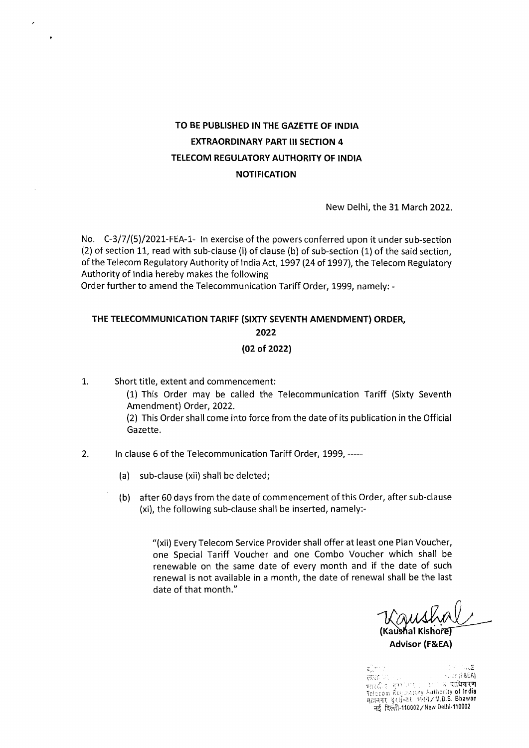## TO BE PUBLISHED IN THE GAZETFE OF INDIA EXTRAORDINARY PART II! SECTION 4 TELECOM REGUlATORY AUTHORITY OF INDIA **NOTIFICATION**

New Delhi, the 31 March 2022.

No. C-3/7/(5)/2021-FEA-1- In exercise of the powers conferred upon it under sub-section (2) of section 11, read with sub-clause (i) of clause (b) of sub-section (1) of the said section, of the Telecom Regulatory Authority of India Act, 1997 (24 of 1997), the Telecom Regulatory Authority of India hereby makes the following

Order further to amend the Telecommunication Tariff Order, 1999, namely: -

# THE TELECOMMUNICATION TARIFF (SIXTY SEVENTH AMENDMENT) ORDER, 2022

## (02 of 2022)

1. Short title, extent and commencement: (1) This Order may be called the Telecommunication Tariff (Sixty Seventh Amendment) Order, 2022. (2) This Order shall come into force from the date of its publication in the Official Gazette.

- 2. In clause 6 of the Telecommunication Tariff Order, 1999, -----
	- (a) sub-clause (xii) shall be deleted;
	- (b) after 60 days from the date of commencement of this Order, after sub-clause (xi), the following sub-clause shall be inserted, namely:-

"(xii) Every Telecom Service Provider shall offer at least one Plan Voucher, one Special Tariff Voucher and one Combo Voucher which shall be renewable on the same date of every month and if the date of such renewal is not available in a month, the date of renewal shall be the last date of that month."

**(Ka&aI Kishoi** 

Advisor (F&EA)

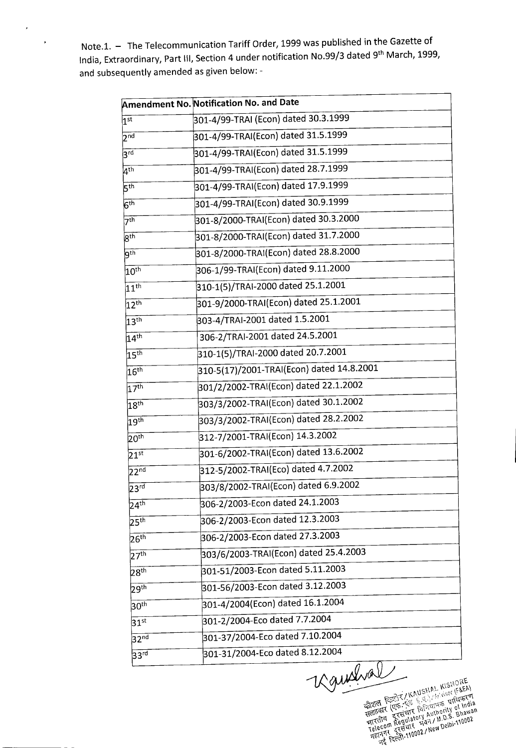Note.l. — The Telecommunication Tariff Order, 1999 was published in the Gazette of India, Extraordinary, Part III, Section 4 under notification No.99/3 dated 9<sup>th</sup> March, 1999, and subsequently amended as given below: -

 $\cdot$ 

| <b>Amendment No. Notification No. and Date</b> |                                               |  |
|------------------------------------------------|-----------------------------------------------|--|
| $\overline{1^{\text{st}}}$                     | 301-4/99-TRAI (Econ) dated 30.3.1999          |  |
| 2 <sup>nd</sup>                                | 301-4/99-TRAI(Econ) dated 31.5.1999           |  |
| $3^{\text{rd}}$                                | 301-4/99-TRAI(Econ) dated 31.5.1999           |  |
| $\overline{4^{th}}$                            | 301-4/99-TRAI(Econ) dated 28.7.1999           |  |
| 5 <sup>th</sup>                                | 301-4/99-TRAI(Econ) dated 17.9.1999           |  |
| $\overline{6^{th}}$                            | 301-4/99-TRAI(Econ) dated 30.9.1999           |  |
| 7 <sup>th</sup>                                | 301-8/2000-TRAI(Econ) dated 30.3.2000         |  |
| 8 <sup>th</sup>                                | 301-8/2000-TRAI(Econ) dated 31.7.2000         |  |
| $\overline{9^{th}}$                            | 301-8/2000-TRAI(Econ) dated 28.8.2000         |  |
| $10^{\text{th}}$                               | 306-1/99-TRAI(Econ) dated 9.11.2000           |  |
| $\overline{11}$ th                             | 310-1(5)/TRAI-2000 dated 25.1.2001            |  |
| $12^{\text{th}}$                               | 301-9/2000-TRAI(Econ) dated 25.1.2001         |  |
| 13 <sup>th</sup>                               | 303-4/TRAI-2001 dated 1.5.2001                |  |
| $14^{\text{th}}$                               | 306-2/TRAI-2001 dated 24.5.2001               |  |
| 15 <sup>th</sup>                               | 310-1(5)/TRAI-2000 dated 20.7.2001            |  |
| 16 <sup>th</sup>                               | $ 310-5(17)/2001$ -TRAI(Econ) dated 14.8.2001 |  |
| 17 <sup>th</sup>                               | 301/2/2002-TRAI(Econ) dated 22.1.2002         |  |
| 18 <sup>th</sup>                               | 303/3/2002-TRAI(Econ) dated 30.1.2002         |  |
| 19 <sup>th</sup>                               | 303/3/2002-TRAI(Econ) dated 28.2.2002         |  |
| 20 <sup>th</sup>                               | 312-7/2001-TRAI(Econ) 14.3.2002               |  |
| $21^{\rm st}$                                  | 301-6/2002-TRAI(Econ) dated 13.6.2002         |  |
| 22 <sup>nd</sup>                               | 312-5/2002-TRAI(Eco) dated 4.7.2002           |  |
| $23^{\overline{\text{rd}}}$                    | 303/8/2002-TRAI(Econ) dated 6.9.2002          |  |
| $24^{\text{th}}$                               | 306-2/2003-Econ dated 24.1.2003               |  |
| 25 <sup>th</sup>                               | 306-2/2003-Econ dated 12.3.2003               |  |
| 26 <sup>th</sup>                               | 306-2/2003-Econ dated 27.3.2003               |  |
| 27 <sup>th</sup>                               | 303/6/2003-TRAI(Econ) dated 25.4.2003         |  |
| 28 <sup>th</sup>                               | 301-51/2003-Econ dated 5.11.2003              |  |
| 29 <sup>th</sup>                               | 301-56/2003-Econ dated 3.12.2003              |  |
| 30 <sup>th</sup>                               | 301-4/2004(Econ) dated 16.1.2004              |  |
| $\overline{31}$ st                             | 301-2/2004-Eco dated 7.7.2004                 |  |
| 32 <sup>nd</sup>                               | 301-37/2004-Eco dated 7.10.2004               |  |
| 33 <sup>rd</sup>                               | 301-31/2004-Eco dated 8.12.2004               |  |
|                                                | n                                             |  |

 $\epsilon$ ેતિયાનજુ… of  $\mu$ **AUSHA!**<br>Si E.E.) /A<br>Si E.E.T.CIT<br>R AUL!<br>ALON AUL! c2i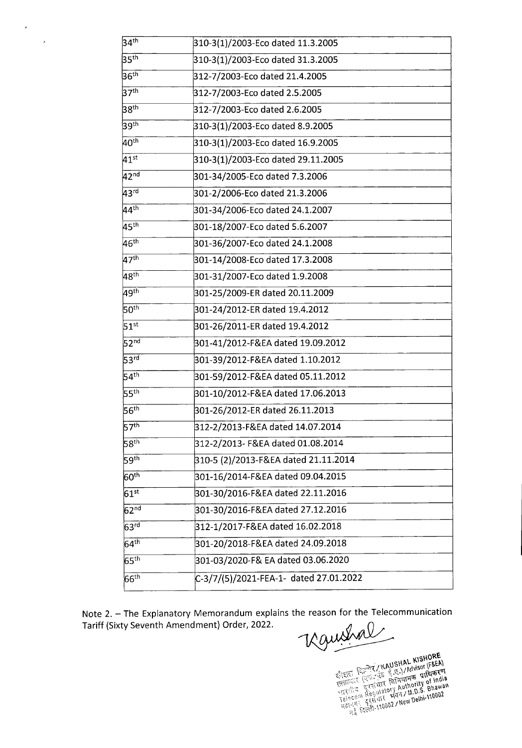| 34 <sup>th</sup>              | 310-3(1)/2003-Eco dated 11.3.2005      |
|-------------------------------|----------------------------------------|
| 35 <sup>th</sup>              | 310-3(1)/2003-Eco dated 31.3.2005      |
| 36 <sup>th</sup>              | 312-7/2003-Eco dated 21.4.2005         |
| 37 <sup>th</sup>              | 312-7/2003-Eco dated 2.5.2005          |
| 38 <sup>th</sup>              | 312-7/2003-Eco dated 2.6.2005          |
| 39 <sup>th</sup>              | 310-3(1)/2003-Eco dated 8.9.2005       |
| 40 <sup>th</sup>              | 310-3(1)/2003-Eco dated 16.9.2005      |
| $\overline{41^{\text{st}}}$   | 310-3(1)/2003-Eco dated 29.11.2005     |
| 42 <sup>nd</sup>              | 301-34/2005-Eco dated 7.3.2006         |
| 43 <sup>rd</sup>              | 301-2/2006-Eco dated 21.3.2006         |
| $44^{\text{th}}$              | 301-34/2006-Eco dated 24.1.2007        |
| 45 <sup>th</sup>              | 301-18/2007-Eco dated 5.6.2007         |
| $46^{\text{th}}$              | 301-36/2007-Eco dated 24.1.2008        |
| 47 <sup>th</sup>              | 301-14/2008-Eco dated 17.3.2008        |
| 48 <sup>th</sup>              | 301-31/2007-Eco dated 1.9.2008         |
| 49 <sup>th</sup>              | 301-25/2009-ER dated 20.11.2009        |
| 50 <sup>th</sup>              | 301-24/2012-ER dated 19.4.2012         |
| 51 <sup>st</sup>              | 301-26/2011-ER dated 19.4.2012         |
| 52 <sup>nd</sup>              | 301-41/2012-F&EA dated 19.09.2012      |
| 53 <sup>rd</sup>              | 301-39/2012-F&EA dated 1.10.2012       |
| 54 <sup>th</sup>              | 301-59/2012-F&EA dated 05.11.2012      |
| 55 <sup>th</sup>              | 301-10/2012-F&EA dated 17.06.2013      |
| 56 <sup>th</sup>              | 301-26/2012-ER dated 26.11.2013        |
| 57 <sup>th</sup>              | 312-2/2013-F&EA dated 14.07.2014       |
| 58 <sup>th</sup>              | 312-2/2013- F&EA dated 01.08.2014      |
| 59 <sup>th</sup>              | 310-5 (2)/2013-F&EA dated 21.11.2014   |
| 60 <sup>th</sup>              | 301-16/2014-F&EA dated 09.04.2015      |
| $61^{st}$                     | 301-30/2016-F&EA dated 22.11.2016      |
| 62 <sup>nd</sup>              | 301-30/2016-F&EA dated 27.12.2016      |
| 63 <sup>rd</sup>              | 312-1/2017-F&EA dated 16.02.2018       |
| $\overline{64}$ <sup>th</sup> | 301-20/2018-F&EA dated 24.09.2018      |
| $65$ <sup>th</sup>            | 301-03/2020-F& EA dated 03.06.2020     |
| $66^{\text{th}}$              | C-3/7/(5)/2021-FEA-1- dated 27.01.2022 |
|                               |                                        |

 $\mathcal{A}$ 

 $\overline{\phantom{a}}$ 

Note 2. – The Explanatory Memorandum explains the reason for the Telecommunication<br>Tariff (Sixty Seventh Amendment) Order, 2022.<br> $\sqrt{2\mu M}$ Tariff (Sixty Seventh Amendment) Order, 2022.

ENTERNAL KISHORE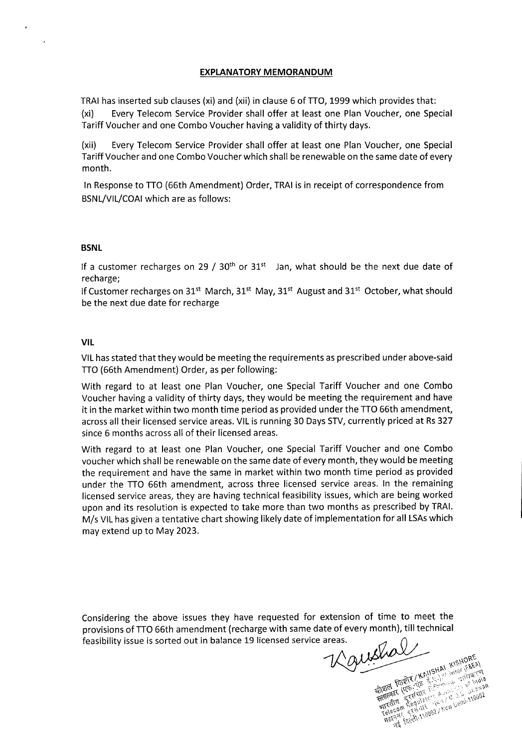#### **EXPLANATORY MEMORANDUM**

TRAI has inserted sub clauses (xi) and (xii) in clause 6 of TTO, 1999 which provides that: (xi) Every Telecom Service Provider shall offer at least one Plan Voucher, one Special Tariff Voucher and one Combo Voucher having a validity of thirty days.

(xii) Every Telecom Service Provider shall offer at least one Plan Voucher, one Special Tariff Voucher and one Combo Voucher which shall be renewable on the same date of every month.

In Response to TTO (66th Amendment) Order, TRA! is in receipt of correspondence from BSNL/VIL/COAI which are as follows:

#### **BSNL**

If a customer recharges on 29 /  $30<sup>th</sup>$  or  $31<sup>st</sup>$  Jan, what should be the next due date of recharge;

If Customer recharges on 31<sup>st</sup> March, 31<sup>st</sup> May, 31<sup>st</sup> August and 31<sup>st</sup> October, what should be the next due date for recharge

#### **VIL**

VIL has stated that they would be meeting the requirements as prescribed under above-said TTO (66th Amendment) Order, as per following:

With regard to at least one Plan Voucher, one Special Tariff Voucher and one Combo Voucher having a validity of thirty days, they would be meeting the requirement and have it in the market within two month time period as provided under the TTO 66th amendment, across all their licensed service areas. VlL is running 30 Days STV, currently priced at Rs 327 since 6 months across all of their licensed areas.

With regard to at least one Plan Voucher, one Special Tariff Voucher and one Combo voucher which shall be renewable on the same date of every month, they would be meeting the requirement and have the same in market within two month time period as provided under the TTO 66th amendment, across three licensed service areas. In the remaining licensed service areas, they are having technical feasibility issues, which are being worked upon and its resolution is expected to take more than two months as prescribed by TRAI. M/s VIL has given a tentative chart showing likely date of implementation for all LSAs which may extend up to May 2023.

Considering the above issues they have requested for extension of time to meet the provisions of TTO 66th amendment (recharge with same date of every month), till technical<br>feasibility issue is sorted out in balance 19 licensed service areas.<br>All the same with the same with the service areas. feasibility issue is sorted out in balance 19 licensed service areas.

SWALL KAUSHAL KISHORE ENTRE RESILIER AND STRATEGIC PROPERTY AND STRATEGIC PROPERTY OF THE RESILIER CONTRACTOR CONTRACTOR CONTRACTOR The Letter First Principal Scientists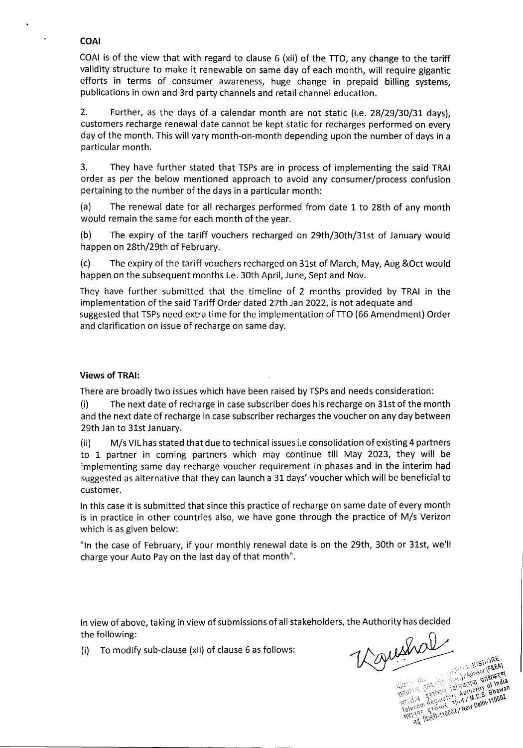## **COAl**

COAl is of the view that with regard to clause 6 (xii) of the ITO, any change to the tariff validity structure to make it renewable on same day of each month, will require gigantic efforts in terms of consumer awareness, huge change in prepaid billing systems, publications in own and 3rd party channels and retail channel education.

2. Further, as the days of a calendar month are not static (i.e. 28/29/30/31 days), customers recharge renewal date cannot be kept static for recharges performed on every day of the month. This will vary month-on-month depending upon the number of days in a particular month.

3. They have further stated that TSPs are in process of implementing the said TRAI order as per the below mentioned approach to avoid any consumer/process confusion pertaining to the number of the days in a particular month:

(a) The renewal date for all recharges performed from date 1 to 28th of any month would remain the same for each month of the year.

(b) The expiry of the tariff vouchers recharged on 29th/30th/3lst of January would happen on 28th/29th of February.

(c) The expiry of the tariff vouchers recharged on 31st of March, May, Aug &Oct would happen on the subsequent months i.e. 30th April, June, Sept and Nov.

They have further submitted that the timeline of 2 months provided by TRAI in the implementation of the said Tariff Order dated 27th Jan 2022, is not adequate and suggested that TSPs need extra time for the implementation of ITO (66 Amendment) Order and clarification on issue of recharge on same day.

### **Views of TRAI:**

There are broadly two issues which have been raised by TSPs and needs consideration:

(i) The next date of recharge in case subscriber does his recharge on 31st of the month and the next date of recharge in case subscriber recharges the voucher on any day between 29th Jan to 31st January.

(ii) M/s VIL has stated that due to technical issues i.e consolidation of existing 4 partners to 1 partner in coming partners which may continue till May 2023, they will be implementing same day recharge voucher requirement in phases and in the interim had suggested as alternative that they can launch a 31 days' voucher which will be beneficial to customer.

In this case it is submitted that since this practice of recharge on same date of every month is in practice in other countries also, we have gone through the practice of M/s Verizon which is as given below:

"In the case of February, if your monthly renewal date is on the 29th, 30th or 31st, we'll charge your Auto Pay on the last day of that month".

In view of above, taking in view of submissions of all stakeholders, the Authority has decided<br>the following:<br>(i) To modify sub-clause (xii) of clause 6 as follows:<br> $\mathcal{W}^{\mathcal{M}^{\mathcal{M}^{\mathcal{M}^{\mathcal{M}^{\mathcal{M}^{\mathcal{M}^{\mathcal{M}$ the following:

(i) To modify sub-clause (xii) of clause  $6$  as follows:

SAL KISHORE **Example 2014**<br>The Company of The Company of The Company of The Company of The Company of The Company of The Company of The Company of The Company of The Company of The Company of The Company of The Company of The Company